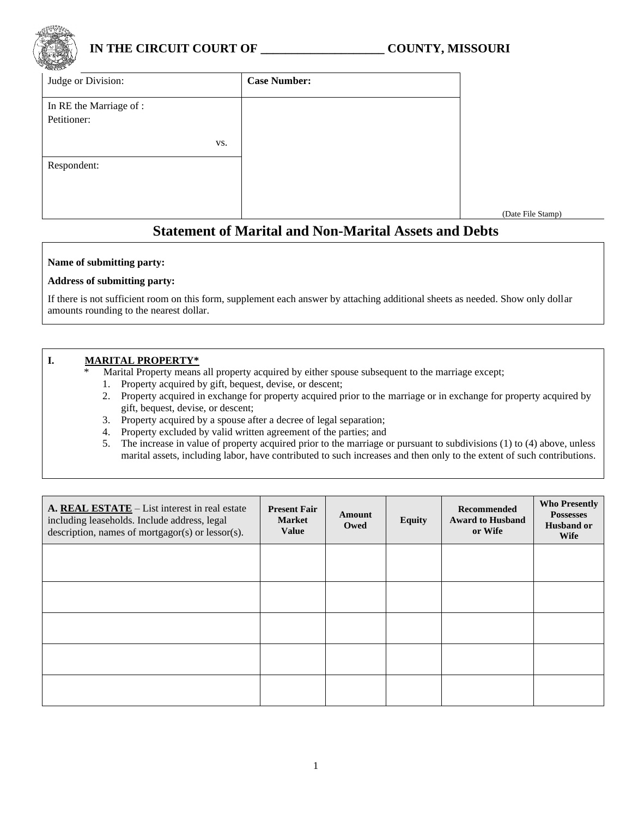

# **IN THE CIRCUIT COURT OF \_\_\_\_\_\_\_\_\_\_\_\_\_\_\_\_\_\_\_\_ COUNTY, MISSOURI**

(Date File Stamp)

| ADCCCY.<br>Judge or Division: | <b>Case Number:</b> |
|-------------------------------|---------------------|
| In RE the Marriage of :       |                     |
| Petitioner:                   |                     |
| VS.                           |                     |
| Respondent:                   |                     |
|                               |                     |
|                               |                     |
|                               |                     |

# **Statement of Marital and Non-Marital Assets and Debts**

#### **Name of submitting party:**

#### **Address of submitting party:**

If there is not sufficient room on this form, supplement each answer by attaching additional sheets as needed. Show only dollar amounts rounding to the nearest dollar.

#### **I. MARITAL PROPERTY\***

Marital Property means all property acquired by either spouse subsequent to the marriage except;

- 1. Property acquired by gift, bequest, devise, or descent;
- 2. Property acquired in exchange for property acquired prior to the marriage or in exchange for property acquired by gift, bequest, devise, or descent;
- 3. Property acquired by a spouse after a decree of legal separation;
- 4. Property excluded by valid written agreement of the parties; and
- 5. The increase in value of property acquired prior to the marriage or pursuant to subdivisions (1) to (4) above, unless marital assets, including labor, have contributed to such increases and then only to the extent of such contributions.

| A. REAL ESTATE - List interest in real estate<br>including leaseholds. Include address, legal<br>description, names of mortgagor(s) or lessor(s). | <b>Present Fair</b><br><b>Market</b><br>Value | Amount<br>Owed | <b>Equity</b> | Recommended<br><b>Award to Husband</b><br>or Wife | <b>Who Presently</b><br><b>Possesses</b><br><b>Husband or</b><br><b>Wife</b> |
|---------------------------------------------------------------------------------------------------------------------------------------------------|-----------------------------------------------|----------------|---------------|---------------------------------------------------|------------------------------------------------------------------------------|
|                                                                                                                                                   |                                               |                |               |                                                   |                                                                              |
|                                                                                                                                                   |                                               |                |               |                                                   |                                                                              |
|                                                                                                                                                   |                                               |                |               |                                                   |                                                                              |
|                                                                                                                                                   |                                               |                |               |                                                   |                                                                              |
|                                                                                                                                                   |                                               |                |               |                                                   |                                                                              |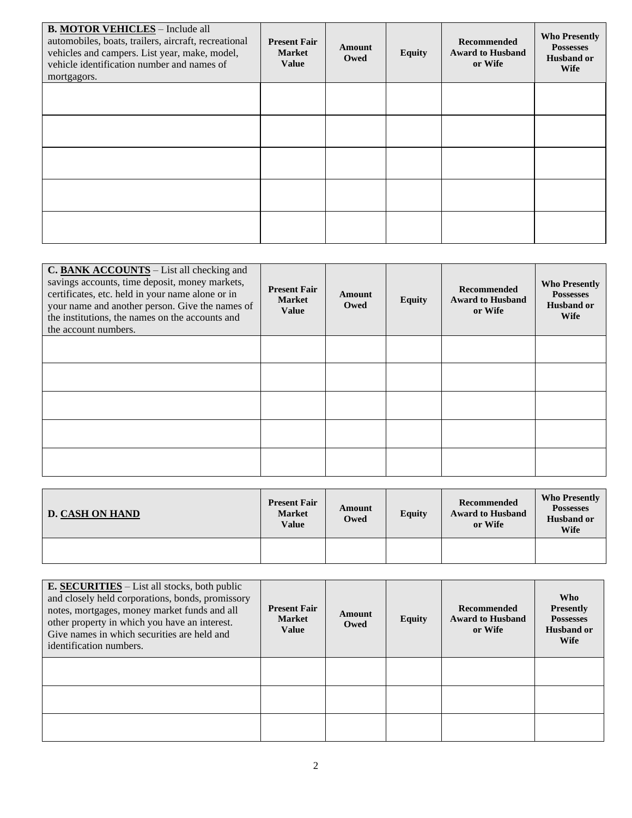| <b>B. MOTOR VEHICLES</b> - Include all<br>automobiles, boats, trailers, aircraft, recreational<br>vehicles and campers. List year, make, model,<br>vehicle identification number and names of<br>mortgagors. | <b>Present Fair</b><br><b>Market</b><br><b>Value</b> | Amount<br>Owed | <b>Equity</b> | Recommended<br><b>Award to Husband</b><br>or Wife | <b>Who Presently</b><br><b>Possesses</b><br><b>Husband or</b><br><b>Wife</b> |
|--------------------------------------------------------------------------------------------------------------------------------------------------------------------------------------------------------------|------------------------------------------------------|----------------|---------------|---------------------------------------------------|------------------------------------------------------------------------------|
|                                                                                                                                                                                                              |                                                      |                |               |                                                   |                                                                              |
|                                                                                                                                                                                                              |                                                      |                |               |                                                   |                                                                              |
|                                                                                                                                                                                                              |                                                      |                |               |                                                   |                                                                              |
|                                                                                                                                                                                                              |                                                      |                |               |                                                   |                                                                              |
|                                                                                                                                                                                                              |                                                      |                |               |                                                   |                                                                              |

| C. BANK ACCOUNTS – List all checking and<br>savings accounts, time deposit, money markets,<br>certificates, etc. held in your name alone or in<br>your name and another person. Give the names of<br>the institutions, the names on the accounts and<br>the account numbers. | <b>Present Fair</b><br><b>Market</b><br><b>Value</b> | Amount<br>Owed | <b>Equity</b> | <b>Recommended</b><br><b>Award to Husband</b><br>or Wife | <b>Who Presently</b><br><b>Possesses</b><br><b>Husband or</b><br><b>Wife</b> |
|------------------------------------------------------------------------------------------------------------------------------------------------------------------------------------------------------------------------------------------------------------------------------|------------------------------------------------------|----------------|---------------|----------------------------------------------------------|------------------------------------------------------------------------------|
|                                                                                                                                                                                                                                                                              |                                                      |                |               |                                                          |                                                                              |
|                                                                                                                                                                                                                                                                              |                                                      |                |               |                                                          |                                                                              |
|                                                                                                                                                                                                                                                                              |                                                      |                |               |                                                          |                                                                              |
|                                                                                                                                                                                                                                                                              |                                                      |                |               |                                                          |                                                                              |
|                                                                                                                                                                                                                                                                              |                                                      |                |               |                                                          |                                                                              |

| <b>D. CASH ON HAND</b> | <b>Present Fair</b><br><b>Market</b><br>Value | Amount<br>Owed | <b>Equity</b> | Recommended<br><b>Award to Husband</b><br>or Wife | <b>Who Presently</b><br><b>Possesses</b><br><b>Husband or</b><br><b>Wife</b> |
|------------------------|-----------------------------------------------|----------------|---------------|---------------------------------------------------|------------------------------------------------------------------------------|
|                        |                                               |                |               |                                                   |                                                                              |

| <b>E. SECURITIES</b> – List all stocks, both public<br>and closely held corporations, bonds, promissory<br>notes, mortgages, money market funds and all<br>other property in which you have an interest.<br>Give names in which securities are held and<br>identification numbers. | <b>Present Fair</b><br><b>Market</b><br><b>Value</b> | Amount<br>Owed | <b>Equity</b> | <b>Recommended</b><br><b>Award to Husband</b><br>or Wife | <b>Who</b><br><b>Presently</b><br><b>Possesses</b><br><b>Husband or</b><br><b>Wife</b> |
|------------------------------------------------------------------------------------------------------------------------------------------------------------------------------------------------------------------------------------------------------------------------------------|------------------------------------------------------|----------------|---------------|----------------------------------------------------------|----------------------------------------------------------------------------------------|
|                                                                                                                                                                                                                                                                                    |                                                      |                |               |                                                          |                                                                                        |
|                                                                                                                                                                                                                                                                                    |                                                      |                |               |                                                          |                                                                                        |
|                                                                                                                                                                                                                                                                                    |                                                      |                |               |                                                          |                                                                                        |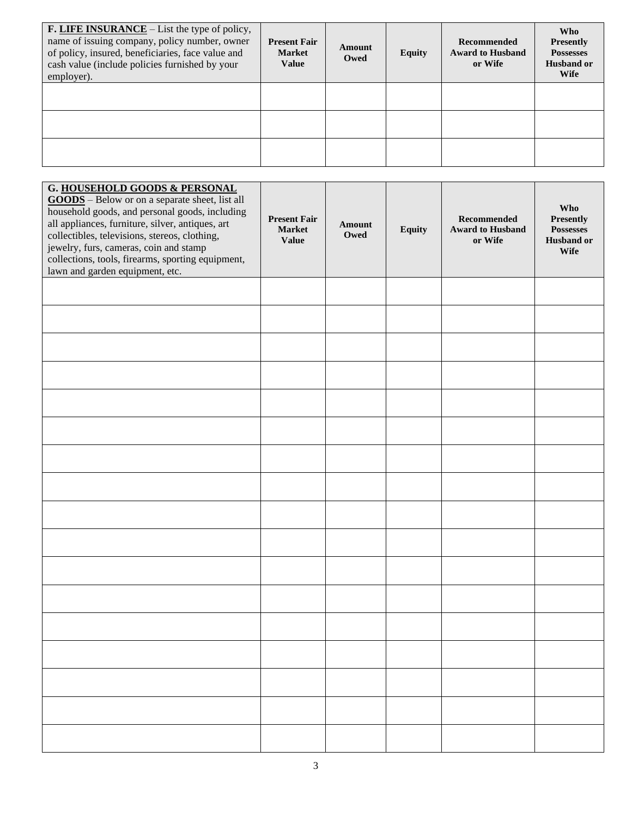| <b>F. LIFE INSURANCE</b> – List the type of policy,<br>name of issuing company, policy number, owner<br>of policy, insured, beneficiaries, face value and<br>cash value (include policies furnished by your<br>employer). | <b>Present Fair</b><br><b>Market</b><br><b>Value</b> | Amount<br>Owed | <b>Equity</b> | <b>Recommended</b><br><b>Award to Husband</b><br>or Wife | <b>Who</b><br><b>Presently</b><br><b>Possesses</b><br>Husband or<br><b>Wife</b> |
|---------------------------------------------------------------------------------------------------------------------------------------------------------------------------------------------------------------------------|------------------------------------------------------|----------------|---------------|----------------------------------------------------------|---------------------------------------------------------------------------------|
|                                                                                                                                                                                                                           |                                                      |                |               |                                                          |                                                                                 |
|                                                                                                                                                                                                                           |                                                      |                |               |                                                          |                                                                                 |
|                                                                                                                                                                                                                           |                                                      |                |               |                                                          |                                                                                 |

| G. HOUSEHOLD GOODS & PERSONAL<br><b>GOODS</b> - Below or on a separate sheet, list all<br>household goods, and personal goods, including<br>all appliances, furniture, silver, antiques, art<br>collectibles, televisions, stereos, clothing,<br>jewelry, furs, cameras, coin and stamp<br>collections, tools, firearms, sporting equipment,<br>lawn and garden equipment, etc. | <b>Present Fair</b><br><b>Market</b><br><b>Value</b> | Amount<br>Owed | <b>Equity</b> | <b>Recommended</b><br><b>Award to Husband</b><br>or Wife | Who<br>Presently<br><b>Possesses</b><br><b>Husband or</b><br><b>Wife</b> |
|---------------------------------------------------------------------------------------------------------------------------------------------------------------------------------------------------------------------------------------------------------------------------------------------------------------------------------------------------------------------------------|------------------------------------------------------|----------------|---------------|----------------------------------------------------------|--------------------------------------------------------------------------|
|                                                                                                                                                                                                                                                                                                                                                                                 |                                                      |                |               |                                                          |                                                                          |
|                                                                                                                                                                                                                                                                                                                                                                                 |                                                      |                |               |                                                          |                                                                          |
|                                                                                                                                                                                                                                                                                                                                                                                 |                                                      |                |               |                                                          |                                                                          |
|                                                                                                                                                                                                                                                                                                                                                                                 |                                                      |                |               |                                                          |                                                                          |
|                                                                                                                                                                                                                                                                                                                                                                                 |                                                      |                |               |                                                          |                                                                          |
|                                                                                                                                                                                                                                                                                                                                                                                 |                                                      |                |               |                                                          |                                                                          |
|                                                                                                                                                                                                                                                                                                                                                                                 |                                                      |                |               |                                                          |                                                                          |
|                                                                                                                                                                                                                                                                                                                                                                                 |                                                      |                |               |                                                          |                                                                          |
|                                                                                                                                                                                                                                                                                                                                                                                 |                                                      |                |               |                                                          |                                                                          |
|                                                                                                                                                                                                                                                                                                                                                                                 |                                                      |                |               |                                                          |                                                                          |
|                                                                                                                                                                                                                                                                                                                                                                                 |                                                      |                |               |                                                          |                                                                          |
|                                                                                                                                                                                                                                                                                                                                                                                 |                                                      |                |               |                                                          |                                                                          |
|                                                                                                                                                                                                                                                                                                                                                                                 |                                                      |                |               |                                                          |                                                                          |
|                                                                                                                                                                                                                                                                                                                                                                                 |                                                      |                |               |                                                          |                                                                          |
|                                                                                                                                                                                                                                                                                                                                                                                 |                                                      |                |               |                                                          |                                                                          |
|                                                                                                                                                                                                                                                                                                                                                                                 |                                                      |                |               |                                                          |                                                                          |
|                                                                                                                                                                                                                                                                                                                                                                                 |                                                      |                |               |                                                          |                                                                          |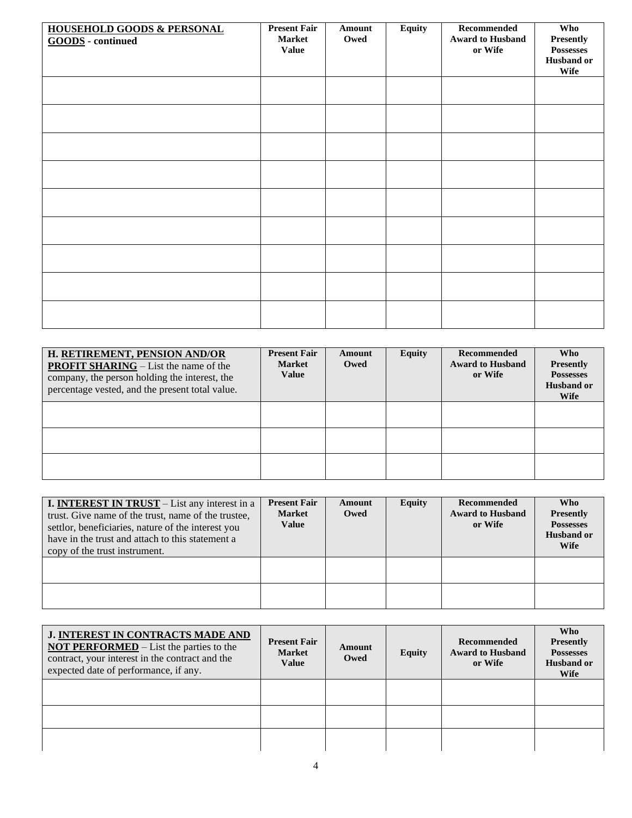| <b>HOUSEHOLD GOODS &amp; PERSONAL</b><br><b>GOODS</b> - continued | <b>Present Fair</b><br><b>Market</b><br><b>Value</b> | Amount<br>Owed | <b>Equity</b> | Recommended<br><b>Award to Husband</b><br>or Wife | Who<br><b>Presently</b><br><b>Possesses</b><br><b>Husband or</b><br>Wife |
|-------------------------------------------------------------------|------------------------------------------------------|----------------|---------------|---------------------------------------------------|--------------------------------------------------------------------------|
|                                                                   |                                                      |                |               |                                                   |                                                                          |
|                                                                   |                                                      |                |               |                                                   |                                                                          |
|                                                                   |                                                      |                |               |                                                   |                                                                          |
|                                                                   |                                                      |                |               |                                                   |                                                                          |
|                                                                   |                                                      |                |               |                                                   |                                                                          |
|                                                                   |                                                      |                |               |                                                   |                                                                          |
|                                                                   |                                                      |                |               |                                                   |                                                                          |
|                                                                   |                                                      |                |               |                                                   |                                                                          |
|                                                                   |                                                      |                |               |                                                   |                                                                          |

| H. RETIREMENT, PENSION AND/OR<br><b>PROFIT SHARING</b> – List the name of the<br>company, the person holding the interest, the<br>percentage vested, and the present total value. | <b>Present Fair</b><br><b>Market</b><br><b>Value</b> | Amount<br>Owed | <b>Equity</b> | Recommended<br><b>Award to Husband</b><br>or Wife | <b>Who</b><br><b>Presently</b><br><b>Possesses</b><br><b>Husband or</b><br><b>Wife</b> |
|-----------------------------------------------------------------------------------------------------------------------------------------------------------------------------------|------------------------------------------------------|----------------|---------------|---------------------------------------------------|----------------------------------------------------------------------------------------|
|                                                                                                                                                                                   |                                                      |                |               |                                                   |                                                                                        |
|                                                                                                                                                                                   |                                                      |                |               |                                                   |                                                                                        |
|                                                                                                                                                                                   |                                                      |                |               |                                                   |                                                                                        |

| <b>I. INTEREST IN TRUST</b> – List any interest in a<br>trust. Give name of the trust, name of the trustee,<br>settlor, beneficiaries, nature of the interest you<br>have in the trust and attach to this statement a<br>copy of the trust instrument. | <b>Present Fair</b><br><b>Market</b><br><b>Value</b> | Amount<br>Owed | <b>Equity</b> | Recommended<br><b>Award to Husband</b><br>or Wife | <b>Who</b><br><b>Presently</b><br><b>Possesses</b><br><b>Husband or</b><br>Wife |
|--------------------------------------------------------------------------------------------------------------------------------------------------------------------------------------------------------------------------------------------------------|------------------------------------------------------|----------------|---------------|---------------------------------------------------|---------------------------------------------------------------------------------|
|                                                                                                                                                                                                                                                        |                                                      |                |               |                                                   |                                                                                 |
|                                                                                                                                                                                                                                                        |                                                      |                |               |                                                   |                                                                                 |

| <b>J. INTEREST IN CONTRACTS MADE AND</b><br><b>NOT PERFORMED</b> $-$ List the parties to the<br>contract, your interest in the contract and the<br>expected date of performance, if any. | <b>Present Fair</b><br><b>Market</b><br><b>Value</b> | Amount<br>Owed | <b>Equity</b> | <b>Recommended</b><br><b>Award to Husband</b><br>or Wife | <b>Who</b><br><b>Presently</b><br><b>Possesses</b><br><b>Husband or</b><br><b>Wife</b> |  |  |
|------------------------------------------------------------------------------------------------------------------------------------------------------------------------------------------|------------------------------------------------------|----------------|---------------|----------------------------------------------------------|----------------------------------------------------------------------------------------|--|--|
|                                                                                                                                                                                          |                                                      |                |               |                                                          |                                                                                        |  |  |
|                                                                                                                                                                                          |                                                      |                |               |                                                          |                                                                                        |  |  |
|                                                                                                                                                                                          |                                                      |                |               |                                                          |                                                                                        |  |  |
| 4                                                                                                                                                                                        |                                                      |                |               |                                                          |                                                                                        |  |  |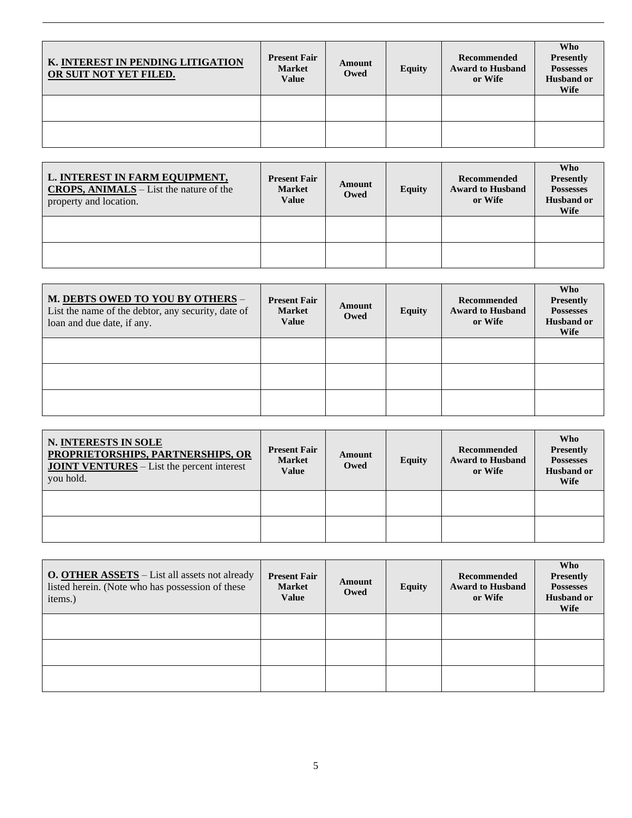| K. INTEREST IN PENDING LITIGATION<br>OR SUIT NOT YET FILED. | <b>Present Fair</b><br><b>Market</b><br>Value | Amount<br>Owed | <b>Equity</b> | Recommended<br><b>Award to Husband</b><br>or Wife | Who<br>Presently<br><b>Possesses</b><br><b>Husband or</b><br><b>Wife</b> |
|-------------------------------------------------------------|-----------------------------------------------|----------------|---------------|---------------------------------------------------|--------------------------------------------------------------------------|
|                                                             |                                               |                |               |                                                   |                                                                          |
|                                                             |                                               |                |               |                                                   |                                                                          |

| L. INTEREST IN FARM EQUIPMENT,<br><b>CROPS, ANIMALS</b> $-$ List the nature of the<br>property and location. | <b>Present Fair</b><br><b>Market</b><br><b>Value</b> | Amount<br>Owed | <b>Equity</b> | Recommended<br><b>Award to Husband</b><br>or Wife | <b>Who</b><br><b>Presently</b><br><b>Possesses</b><br><b>Husband or</b><br><b>Wife</b> |
|--------------------------------------------------------------------------------------------------------------|------------------------------------------------------|----------------|---------------|---------------------------------------------------|----------------------------------------------------------------------------------------|
|                                                                                                              |                                                      |                |               |                                                   |                                                                                        |
|                                                                                                              |                                                      |                |               |                                                   |                                                                                        |

| M. DEBTS OWED TO YOU BY OTHERS -<br>List the name of the debtor, any security, date of<br>loan and due date, if any. | <b>Present Fair</b><br><b>Market</b><br><b>Value</b> | Amount<br>Owed | Equity | Recommended<br><b>Award to Husband</b><br>or Wife | <b>Who</b><br><b>Presently</b><br><b>Possesses</b><br><b>Husband or</b><br><b>Wife</b> |
|----------------------------------------------------------------------------------------------------------------------|------------------------------------------------------|----------------|--------|---------------------------------------------------|----------------------------------------------------------------------------------------|
|                                                                                                                      |                                                      |                |        |                                                   |                                                                                        |
|                                                                                                                      |                                                      |                |        |                                                   |                                                                                        |
|                                                                                                                      |                                                      |                |        |                                                   |                                                                                        |

| N. INTERESTS IN SOLE<br>PROPRIETORSHIPS, PARTNERSHIPS, OR<br><b>JOINT VENTURES</b> – List the percent interest<br>you hold. | <b>Present Fair</b><br><b>Market</b><br>Value | Amount<br>Owed | <b>Equity</b> | Recommended<br><b>Award to Husband</b><br>or Wife | Who<br><b>Presently</b><br><b>Possesses</b><br><b>Husband or</b><br><b>Wife</b> |
|-----------------------------------------------------------------------------------------------------------------------------|-----------------------------------------------|----------------|---------------|---------------------------------------------------|---------------------------------------------------------------------------------|
|                                                                                                                             |                                               |                |               |                                                   |                                                                                 |
|                                                                                                                             |                                               |                |               |                                                   |                                                                                 |

| <b>O. OTHER ASSETS</b> – List all assets not already<br>listed herein. (Note who has possession of these<br>items.) | <b>Present Fair</b><br><b>Market</b><br><b>Value</b> | Amount<br>Owed | <b>Equity</b> | Recommended<br><b>Award to Husband</b><br>or Wife | <b>Who</b><br><b>Presently</b><br><b>Possesses</b><br><b>Husband or</b><br><b>Wife</b> |
|---------------------------------------------------------------------------------------------------------------------|------------------------------------------------------|----------------|---------------|---------------------------------------------------|----------------------------------------------------------------------------------------|
|                                                                                                                     |                                                      |                |               |                                                   |                                                                                        |
|                                                                                                                     |                                                      |                |               |                                                   |                                                                                        |
|                                                                                                                     |                                                      |                |               |                                                   |                                                                                        |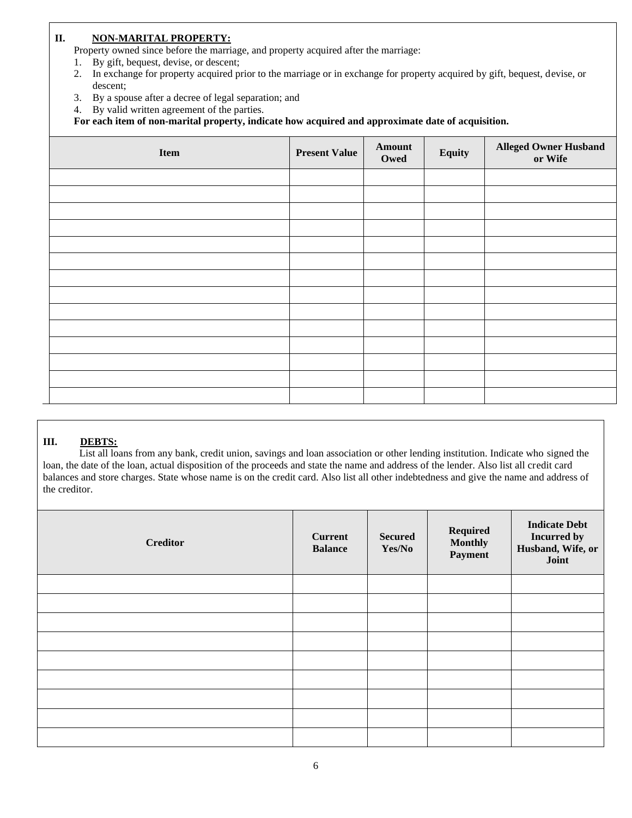#### **II. NON-MARITAL PROPERTY:**

Property owned since before the marriage, and property acquired after the marriage:

- 1. By gift, bequest, devise, or descent;
- 2. In exchange for property acquired prior to the marriage or in exchange for property acquired by gift, bequest, devise, or descent;
- 3. By a spouse after a decree of legal separation; and
- 4. By valid written agreement of the parties.

**For each item of non-marital property, indicate how acquired and approximate date of acquisition.**

| Item | <b>Present Value</b> | Amount<br>Owed | Equity | <b>Alleged Owner Husband</b><br>or Wife |
|------|----------------------|----------------|--------|-----------------------------------------|
|      |                      |                |        |                                         |
|      |                      |                |        |                                         |
|      |                      |                |        |                                         |
|      |                      |                |        |                                         |
|      |                      |                |        |                                         |
|      |                      |                |        |                                         |
|      |                      |                |        |                                         |
|      |                      |                |        |                                         |
|      |                      |                |        |                                         |
|      |                      |                |        |                                         |
|      |                      |                |        |                                         |
|      |                      |                |        |                                         |
|      |                      |                |        |                                         |
|      |                      |                |        |                                         |

### **III. DEBTS:**

List all loans from any bank, credit union, savings and loan association or other lending institution. Indicate who signed the loan, the date of the loan, actual disposition of the proceeds and state the name and address of the lender. Also list all credit card balances and store charges. State whose name is on the credit card. Also list all other indebtedness and give the name and address of the creditor.

| <b>Creditor</b> | <b>Current</b><br><b>Balance</b> | <b>Secured</b><br>Yes/No | Required<br><b>Monthly</b><br>Payment | <b>Indicate Debt</b><br><b>Incurred by</b><br>Husband, Wife, or<br>Joint |
|-----------------|----------------------------------|--------------------------|---------------------------------------|--------------------------------------------------------------------------|
|                 |                                  |                          |                                       |                                                                          |
|                 |                                  |                          |                                       |                                                                          |
|                 |                                  |                          |                                       |                                                                          |
|                 |                                  |                          |                                       |                                                                          |
|                 |                                  |                          |                                       |                                                                          |
|                 |                                  |                          |                                       |                                                                          |
|                 |                                  |                          |                                       |                                                                          |
|                 |                                  |                          |                                       |                                                                          |
|                 |                                  |                          |                                       |                                                                          |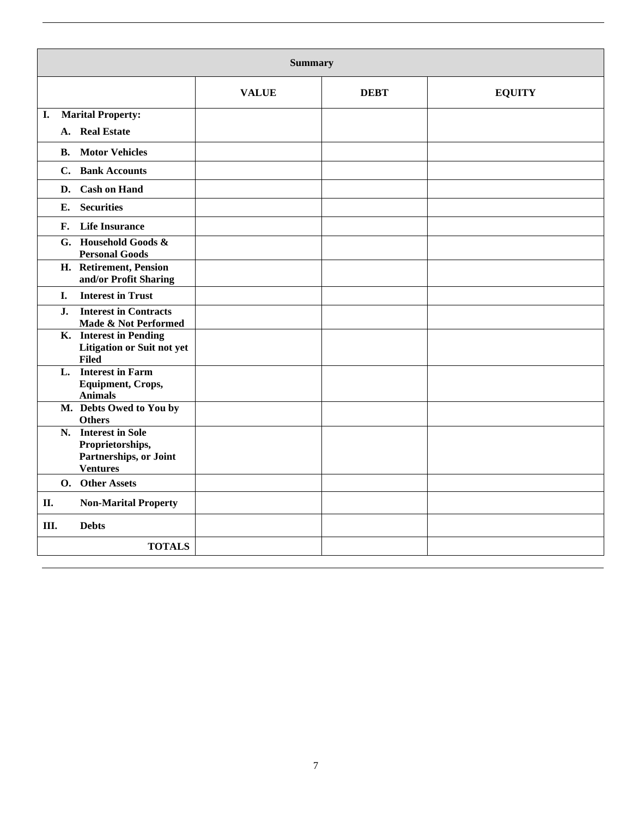|           | <b>Summary</b>                                                                       |              |             |               |  |  |  |  |
|-----------|--------------------------------------------------------------------------------------|--------------|-------------|---------------|--|--|--|--|
|           |                                                                                      | <b>VALUE</b> | <b>DEBT</b> | <b>EQUITY</b> |  |  |  |  |
| I.        | <b>Marital Property:</b>                                                             |              |             |               |  |  |  |  |
| A.        | <b>Real Estate</b>                                                                   |              |             |               |  |  |  |  |
| <b>B.</b> | <b>Motor Vehicles</b>                                                                |              |             |               |  |  |  |  |
|           | C. Bank Accounts                                                                     |              |             |               |  |  |  |  |
| D.        | <b>Cash on Hand</b>                                                                  |              |             |               |  |  |  |  |
| Е.        | <b>Securities</b>                                                                    |              |             |               |  |  |  |  |
| F.        | <b>Life Insurance</b>                                                                |              |             |               |  |  |  |  |
|           | G. Household Goods &<br><b>Personal Goods</b>                                        |              |             |               |  |  |  |  |
|           | H. Retirement, Pension<br>and/or Profit Sharing                                      |              |             |               |  |  |  |  |
| I.        | <b>Interest in Trust</b>                                                             |              |             |               |  |  |  |  |
| J.        | <b>Interest in Contracts</b><br>Made & Not Performed                                 |              |             |               |  |  |  |  |
|           | K. Interest in Pending<br><b>Litigation or Suit not yet</b><br><b>Filed</b>          |              |             |               |  |  |  |  |
|           | L. Interest in Farm<br>Equipment, Crops,<br><b>Animals</b>                           |              |             |               |  |  |  |  |
|           | M. Debts Owed to You by<br><b>Others</b>                                             |              |             |               |  |  |  |  |
|           | N. Interest in Sole<br>Proprietorships,<br>Partnerships, or Joint<br><b>Ventures</b> |              |             |               |  |  |  |  |
|           | O. Other Assets                                                                      |              |             |               |  |  |  |  |
| П.        | <b>Non-Marital Property</b>                                                          |              |             |               |  |  |  |  |
| III.      | <b>Debts</b>                                                                         |              |             |               |  |  |  |  |
|           | <b>TOTALS</b>                                                                        |              |             |               |  |  |  |  |